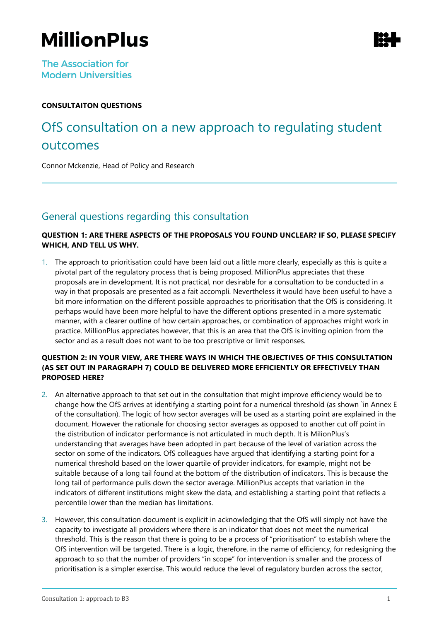# **MillionPlus**

**The Association for Modern Universities** 

#### **CONSULTAITON QUESTIONS**

## OfS consultation on a new approach to regulating student outcomes

Connor Mckenzie, Head of Policy and Research

## General questions regarding this consultation

#### **QUESTION 1: ARE THERE ASPECTS OF THE PROPOSALS YOU FOUND UNCLEAR? IF SO, PLEASE SPECIFY WHICH, AND TELL US WHY.**

1. The approach to prioritisation could have been laid out a little more clearly, especially as this is quite a pivotal part of the regulatory process that is being proposed. MillionPlus appreciates that these proposals are in development. It is not practical, nor desirable for a consultation to be conducted in a way in that proposals are presented as a fait accompli. Nevertheless it would have been useful to have a bit more information on the different possible approaches to prioritisation that the OfS is considering. It perhaps would have been more helpful to have the different options presented in a more systematic manner, with a clearer outline of how certain approaches, or combination of approaches might work in practice. MillionPlus appreciates however, that this is an area that the OfS is inviting opinion from the sector and as a result does not want to be too prescriptive or limit responses.

#### **QUESTION 2: IN YOUR VIEW, ARE THERE WAYS IN WHICH THE OBJECTIVES OF THIS CONSULTATION (AS SET OUT IN PARAGRAPH 7) COULD BE DELIVERED MORE EFFICIENTLY OR EFFECTIVELY THAN PROPOSED HERE?**

- 2. An alternative approach to that set out in the consultation that might improve efficiency would be to change how the OfS arrives at identifying a starting point for a numerical threshold (as shown `in Annex E of the consultation). The logic of how sector averages will be used as a starting point are explained in the document. However the rationale for choosing sector averages as opposed to another cut off point in the distribution of indicator performance is not articulated in much depth. It is MilionPlus's understanding that averages have been adopted in part because of the level of variation across the sector on some of the indicators. OfS colleagues have argued that identifying a starting point for a numerical threshold based on the lower quartile of provider indicators, for example, might not be suitable because of a long tail found at the bottom of the distribution of indicators. This is because the long tail of performance pulls down the sector average. MillionPlus accepts that variation in the indicators of different institutions might skew the data, and establishing a starting point that reflects a percentile lower than the median has limitations.
- 3. However, this consultation document is explicit in acknowledging that the OfS will simply not have the capacity to investigate all providers where there is an indicator that does not meet the numerical threshold. This is the reason that there is going to be a process of "prioritisation" to establish where the OfS intervention will be targeted. There is a logic, therefore, in the name of efficiency, for redesigning the approach to so that the number of providers "in scope" for intervention is smaller and the process of prioritisation is a simpler exercise. This would reduce the level of regulatory burden across the sector,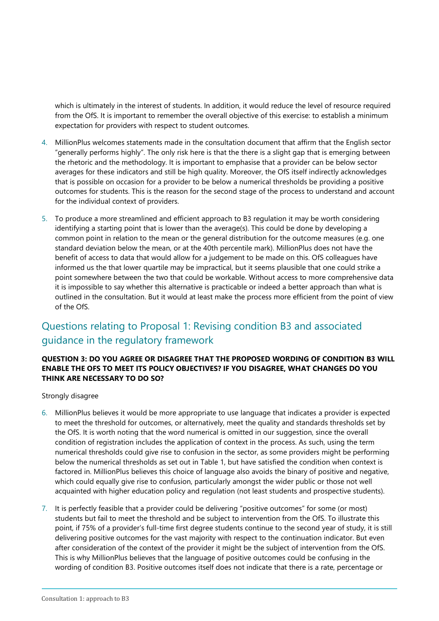which is ultimately in the interest of students. In addition, it would reduce the level of resource required from the OfS. It is important to remember the overall objective of this exercise: to establish a minimum expectation for providers with respect to student outcomes.

- 4. MillionPlus welcomes statements made in the consultation document that affirm that the English sector "generally performs highly". The only risk here is that the there is a slight gap that is emerging between the rhetoric and the methodology. It is important to emphasise that a provider can be below sector averages for these indicators and still be high quality. Moreover, the OfS itself indirectly acknowledges that is possible on occasion for a provider to be below a numerical thresholds be providing a positive outcomes for students. This is the reason for the second stage of the process to understand and account for the individual context of providers.
- 5. To produce a more streamlined and efficient approach to B3 regulation it may be worth considering identifying a starting point that is lower than the average(s). This could be done by developing a common point in relation to the mean or the general distribution for the outcome measures (e.g. one standard deviation below the mean, or at the 40th percentile mark). MillionPlus does not have the benefit of access to data that would allow for a judgement to be made on this. OfS colleagues have informed us the that lower quartile may be impractical, but it seems plausible that one could strike a point somewhere between the two that could be workable. Without access to more comprehensive data it is impossible to say whether this alternative is practicable or indeed a better approach than what is outlined in the consultation. But it would at least make the process more efficient from the point of view of the OfS.

## Questions relating to Proposal 1: Revising condition B3 and associated guidance in the regulatory framework

#### **QUESTION 3: DO YOU AGREE OR DISAGREE THAT THE PROPOSED WORDING OF CONDITION B3 WILL ENABLE THE OFS TO MEET ITS POLICY OBJECTIVES? IF YOU DISAGREE, WHAT CHANGES DO YOU THINK ARE NECESSARY TO DO SO?**

Strongly disagree

- 6. MillionPlus believes it would be more appropriate to use language that indicates a provider is expected to meet the threshold for outcomes, or alternatively, meet the quality and standards thresholds set by the OfS. It is worth noting that the word numerical is omitted in our suggestion, since the overall condition of registration includes the application of context in the process. As such, using the term numerical thresholds could give rise to confusion in the sector, as some providers might be performing below the numerical thresholds as set out in Table 1, but have satisfied the condition when context is factored in. MillionPlus believes this choice of language also avoids the binary of positive and negative, which could equally give rise to confusion, particularly amongst the wider public or those not well acquainted with higher education policy and regulation (not least students and prospective students).
- 7. It is perfectly feasible that a provider could be delivering "positive outcomes" for some (or most) students but fail to meet the threshold and be subject to intervention from the OfS. To illustrate this point, if 75% of a provider's full-time first degree students continue to the second year of study, it is still delivering positive outcomes for the vast majority with respect to the continuation indicator. But even after consideration of the context of the provider it might be the subject of intervention from the OfS. This is why MillionPlus believes that the language of positive outcomes could be confusing in the wording of condition B3. Positive outcomes itself does not indicate that there is a rate, percentage or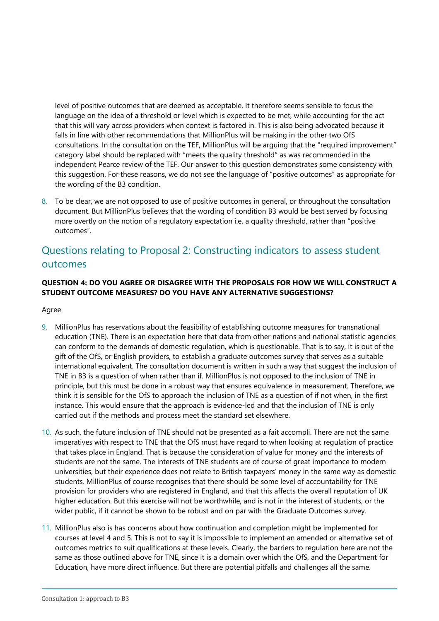level of positive outcomes that are deemed as acceptable. It therefore seems sensible to focus the language on the idea of a threshold or level which is expected to be met, while accounting for the act that this will vary across providers when context is factored in. This is also being advocated because it falls in line with other recommendations that MillionPlus will be making in the other two OfS consultations. In the consultation on the TEF, MillionPlus will be arguing that the "required improvement" category label should be replaced with "meets the quality threshold" as was recommended in the independent Pearce review of the TEF. Our answer to this question demonstrates some consistency with this suggestion. For these reasons, we do not see the language of "positive outcomes" as appropriate for the wording of the B3 condition.

8. To be clear, we are not opposed to use of positive outcomes in general, or throughout the consultation document. But MillionPlus believes that the wording of condition B3 would be best served by focusing more overtly on the notion of a regulatory expectation i.e. a quality threshold, rather than "positive outcomes".

## Questions relating to Proposal 2: Constructing indicators to assess student outcomes

#### **QUESTION 4: DO YOU AGREE OR DISAGREE WITH THE PROPOSALS FOR HOW WE WILL CONSTRUCT A STUDENT OUTCOME MEASURES? DO YOU HAVE ANY ALTERNATIVE SUGGESTIONS?**

Agree

- 9. MillionPlus has reservations about the feasibility of establishing outcome measures for transnational education (TNE). There is an expectation here that data from other nations and national statistic agencies can conform to the demands of domestic regulation, which is questionable. That is to say, it is out of the gift of the OfS, or English providers, to establish a graduate outcomes survey that serves as a suitable international equivalent. The consultation document is written in such a way that suggest the inclusion of TNE in B3 is a question of when rather than if. MillionPlus is not opposed to the inclusion of TNE in principle, but this must be done in a robust way that ensures equivalence in measurement. Therefore, we think it is sensible for the OfS to approach the inclusion of TNE as a question of if not when, in the first instance. This would ensure that the approach is evidence-led and that the inclusion of TNE is only carried out if the methods and process meet the standard set elsewhere.
- 10. As such, the future inclusion of TNE should not be presented as a fait accompli. There are not the same imperatives with respect to TNE that the OfS must have regard to when looking at regulation of practice that takes place in England. That is because the consideration of value for money and the interests of students are not the same. The interests of TNE students are of course of great importance to modern universities, but their experience does not relate to British taxpayers' money in the same way as domestic students. MillionPlus of course recognises that there should be some level of accountability for TNE provision for providers who are registered in England, and that this affects the overall reputation of UK higher education. But this exercise will not be worthwhile, and is not in the interest of students, or the wider public, if it cannot be shown to be robust and on par with the Graduate Outcomes survey.
- 11. MillionPlus also is has concerns about how continuation and completion might be implemented for courses at level 4 and 5. This is not to say it is impossible to implement an amended or alternative set of outcomes metrics to suit qualifications at these levels. Clearly, the barriers to regulation here are not the same as those outlined above for TNE, since it is a domain over which the OfS, and the Department for Education, have more direct influence. But there are potential pitfalls and challenges all the same.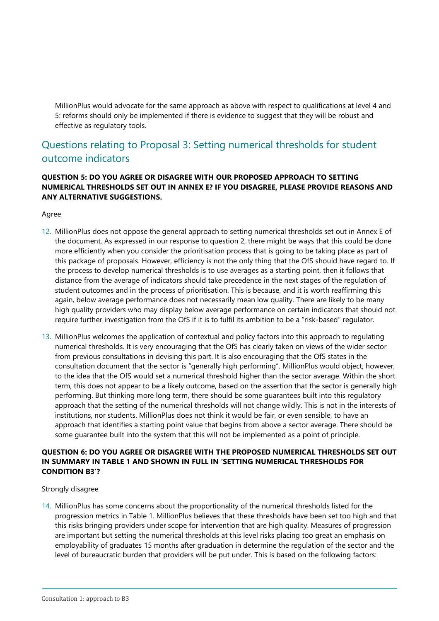MillionPlus would advocate for the same approach as above with respect to qualifications at level 4 and 5: reforms should only be implemented if there is evidence to suggest that they will be robust and effective as regulatory tools.

## Questions relating to Proposal 3: Setting numerical thresholds for student outcome indicators

#### **QUESTION 5: DO YOU AGREE OR DISAGREE WITH OUR PROPOSED APPROACH TO SETTING NUMERICAL THRESHOLDS SET OUT IN ANNEX E? IF YOU DISAGREE, PLEASE PROVIDE REASONS AND ANY ALTERNATIVE SUGGESTIONS.**

Agree

- 12. MillionPlus does not oppose the general approach to setting numerical thresholds set out in Annex E of the document. As expressed in our response to question 2, there might be ways that this could be done more efficiently when you consider the prioritisation process that is going to be taking place as part of this package of proposals. However, efficiency is not the only thing that the OfS should have regard to. If the process to develop numerical thresholds is to use averages as a starting point, then it follows that distance from the average of indicators should take precedence in the next stages of the regulation of student outcomes and in the process of prioritisation. This is because, and it is worth reaffirming this again, below average performance does not necessarily mean low quality. There are likely to be many high quality providers who may display below average performance on certain indicators that should not require further investigation from the OfS if it is to fulfil its ambition to be a "risk-based" regulator.
- 13. MillionPlus welcomes the application of contextual and policy factors into this approach to regulating numerical thresholds. It is very encouraging that the OfS has clearly taken on views of the wider sector from previous consultations in devising this part. It is also encouraging that the OfS states in the consultation document that the sector is "generally high performing". MillionPlus would object, however, to the idea that the OfS would set a numerical threshold higher than the sector average. Within the short term, this does not appear to be a likely outcome, based on the assertion that the sector is generally high performing. But thinking more long term, there should be some guarantees built into this regulatory approach that the setting of the numerical thresholds will not change wildly. This is not in the interests of institutions, nor students. MillionPlus does not think it would be fair, or even sensible, to have an approach that identifies a starting point value that begins from above a sector average. There should be some guarantee built into the system that this will not be implemented as a point of principle.

#### **QUESTION 6: DO YOU AGREE OR DISAGREE WITH THE PROPOSED NUMERICAL THRESHOLDS SET OUT IN SUMMARY IN TABLE 1 AND SHOWN IN FULL IN 'SETTING NUMERICAL THRESHOLDS FOR CONDITION B3'?**

Strongly disagree

14. MillionPlus has some concerns about the proportionality of the numerical thresholds listed for the progression metrics in Table 1. MillionPlus believes that these thresholds have been set too high and that this risks bringing providers under scope for intervention that are high quality. Measures of progression are important but setting the numerical thresholds at this level risks placing too great an emphasis on employability of graduates 15 months after graduation in determine the regulation of the sector and the level of bureaucratic burden that providers will be put under. This is based on the following factors: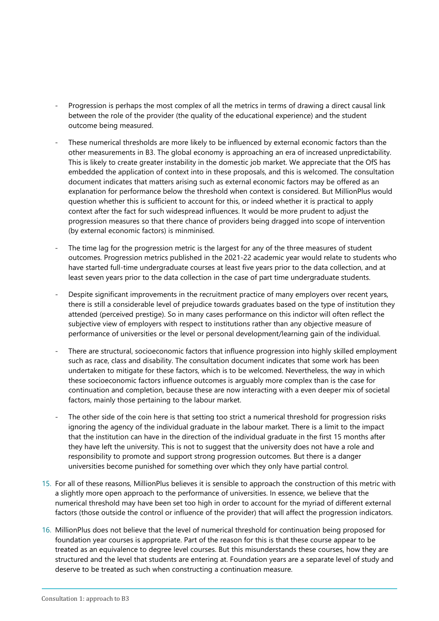- Progression is perhaps the most complex of all the metrics in terms of drawing a direct causal link between the role of the provider (the quality of the educational experience) and the student outcome being measured.
- These numerical thresholds are more likely to be influenced by external economic factors than the other measurements in B3. The global economy is approaching an era of increased unpredictability. This is likely to create greater instability in the domestic job market. We appreciate that the OfS has embedded the application of context into in these proposals, and this is welcomed. The consultation document indicates that matters arising such as external economic factors may be offered as an explanation for performance below the threshold when context is considered. But MillionPlus would question whether this is sufficient to account for this, or indeed whether it is practical to apply context after the fact for such widespread influences. It would be more prudent to adjust the progression measures so that there chance of providers being dragged into scope of intervention (by external economic factors) is minminised.
- The time lag for the progression metric is the largest for any of the three measures of student outcomes. Progression metrics published in the 2021-22 academic year would relate to students who have started full-time undergraduate courses at least five years prior to the data collection, and at least seven years prior to the data collection in the case of part time undergraduate students.
- Despite significant improvements in the recruitment practice of many employers over recent years, there is still a considerable level of prejudice towards graduates based on the type of institution they attended (perceived prestige). So in many cases performance on this indictor will often reflect the subjective view of employers with respect to institutions rather than any objective measure of performance of universities or the level or personal development/learning gain of the individual.
- There are structural, socioeconomic factors that influence progression into highly skilled employment such as race, class and disability. The consultation document indicates that some work has been undertaken to mitigate for these factors, which is to be welcomed. Nevertheless, the way in which these socioeconomic factors influence outcomes is arguably more complex than is the case for continuation and completion, because these are now interacting with a even deeper mix of societal factors, mainly those pertaining to the labour market.
- The other side of the coin here is that setting too strict a numerical threshold for progression risks ignoring the agency of the individual graduate in the labour market. There is a limit to the impact that the institution can have in the direction of the individual graduate in the first 15 months after they have left the university. This is not to suggest that the university does not have a role and responsibility to promote and support strong progression outcomes. But there is a danger universities become punished for something over which they only have partial control.
- 15. For all of these reasons, MillionPlus believes it is sensible to approach the construction of this metric with a slightly more open approach to the performance of universities. In essence, we believe that the numerical threshold may have been set too high in order to account for the myriad of different external factors (those outside the control or influence of the provider) that will affect the progression indicators.
- 16. MillionPlus does not believe that the level of numerical threshold for continuation being proposed for foundation year courses is appropriate. Part of the reason for this is that these course appear to be treated as an equivalence to degree level courses. But this misunderstands these courses, how they are structured and the level that students are entering at. Foundation years are a separate level of study and deserve to be treated as such when constructing a continuation measure.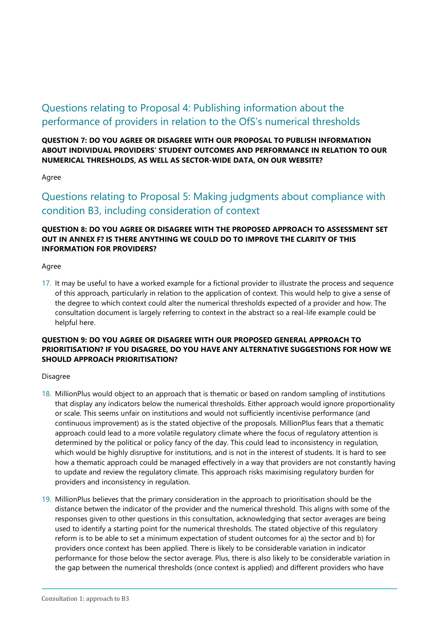## Questions relating to Proposal 4: Publishing information about the performance of providers in relation to the OfS's numerical thresholds

**QUESTION 7: DO YOU AGREE OR DISAGREE WITH OUR PROPOSAL TO PUBLISH INFORMATION ABOUT INDIVIDUAL PROVIDERS' STUDENT OUTCOMES AND PERFORMANCE IN RELATION TO OUR NUMERICAL THRESHOLDS, AS WELL AS SECTOR-WIDE DATA, ON OUR WEBSITE?**

#### Agree

Questions relating to Proposal 5: Making judgments about compliance with condition B3, including consideration of context

#### **QUESTION 8: DO YOU AGREE OR DISAGREE WITH THE PROPOSED APPROACH TO ASSESSMENT SET OUT IN ANNEX F? IS THERE ANYTHING WE COULD DO TO IMPROVE THE CLARITY OF THIS INFORMATION FOR PROVIDERS?**

Agree

17. It may be useful to have a worked example for a fictional provider to illustrate the process and sequence of this approach, particularly in relation to the application of context. This would help to give a sense of the degree to which context could alter the numerical thresholds expected of a provider and how. The consultation document is largely referring to context in the abstract so a real-life example could be helpful here.

#### **QUESTION 9: DO YOU AGREE OR DISAGREE WITH OUR PROPOSED GENERAL APPROACH TO PRIORITISATION? IF YOU DISAGREE, DO YOU HAVE ANY ALTERNATIVE SUGGESTIONS FOR HOW WE SHOULD APPROACH PRIORITISATION?**

#### Disagree

- 18. MillionPlus would object to an approach that is thematic or based on random sampling of institutions that display any indicators below the numerical thresholds. Either approach would ignore proportionality or scale. This seems unfair on institutions and would not sufficiently incentivise performance (and continuous improvement) as is the stated objective of the proposals. MillionPlus fears that a thematic approach could lead to a more volatile regulatory climate where the focus of regulatory attention is determined by the political or policy fancy of the day. This could lead to inconsistency in regulation, which would be highly disruptive for institutions, and is not in the interest of students. It is hard to see how a thematic approach could be managed effectively in a way that providers are not constantly having to update and review the regulatory climate. This approach risks maximising regulatory burden for providers and inconsistency in regulation.
- 19. MillionPlus believes that the primary consideration in the approach to prioritisation should be the distance betwen the indicator of the provider and the numerical threshold. This aligns with some of the responses given to other questions in this consultation, acknowledging that sector averages are being used to identify a starting point for the numerical thresholds. The stated objective of this regulatory reform is to be able to set a minimum expectation of student outcomes for a) the sector and b) for providers once context has been applied. There is likely to be considerable variation in indicator performance for those below the sector average. Plus, there is also likely to be considerable variation in the gap between the numerical thresholds (once context is applied) and different providers who have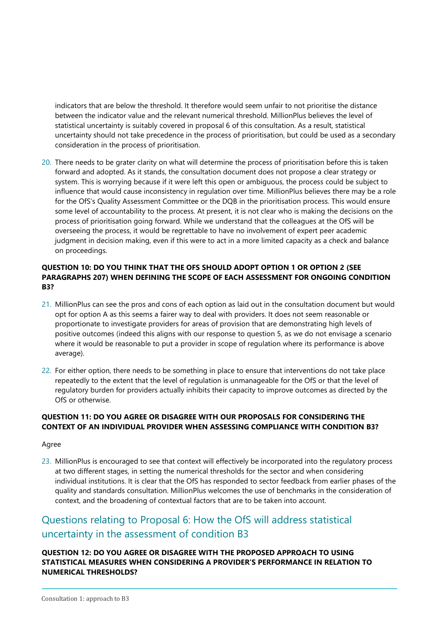indicators that are below the threshold. It therefore would seem unfair to not prioritise the distance between the indicator value and the relevant numerical threshold. MillionPlus believes the level of statistical uncertainty is suitably covered in proposal 6 of this consultation. As a result, statistical uncertainty should not take precedence in the process of prioritisation, but could be used as a secondary consideration in the process of prioritisation.

20. There needs to be grater clarity on what will determine the process of prioritisation before this is taken forward and adopted. As it stands, the consultation document does not propose a clear strategy or system. This is worrying because if it were left this open or ambiguous, the process could be subject to influence that would cause inconsistency in regulation over time. MillionPlus believes there may be a role for the OfS's Quality Assessment Committee or the DQB in the prioritisation process. This would ensure some level of accountability to the process. At present, it is not clear who is making the decisions on the process of prioritisation going forward. While we understand that the colleagues at the OfS will be overseeing the process, it would be regrettable to have no involvement of expert peer academic judgment in decision making, even if this were to act in a more limited capacity as a check and balance on proceedings.

#### **QUESTION 10: DO YOU THINK THAT THE OFS SHOULD ADOPT OPTION 1 OR OPTION 2 (SEE PARAGRAPHS 207) WHEN DEFINING THE SCOPE OF EACH ASSESSMENT FOR ONGOING CONDITION B3?**

- 21. MillionPlus can see the pros and cons of each option as laid out in the consultation document but would opt for option A as this seems a fairer way to deal with providers. It does not seem reasonable or proportionate to investigate providers for areas of provision that are demonstrating high levels of positive outcomes (indeed this aligns with our response to question 5, as we do not envisage a scenario where it would be reasonable to put a provider in scope of regulation where its performance is above average).
- 22. For either option, there needs to be something in place to ensure that interventions do not take place repeatedly to the extent that the level of regulation is unmanageable for the OfS or that the level of regulatory burden for providers actually inhibits their capacity to improve outcomes as directed by the OfS or otherwise.

#### **QUESTION 11: DO YOU AGREE OR DISAGREE WITH OUR PROPOSALS FOR CONSIDERING THE CONTEXT OF AN INDIVIDUAL PROVIDER WHEN ASSESSING COMPLIANCE WITH CONDITION B3?**

#### Agree

23. MillionPlus is encouraged to see that context will effectively be incorporated into the regulatory process at two different stages, in setting the numerical thresholds for the sector and when considering individual institutions. It is clear that the OfS has responded to sector feedback from earlier phases of the quality and standards consultation. MillionPlus welcomes the use of benchmarks in the consideration of context, and the broadening of contextual factors that are to be taken into account.

## Questions relating to Proposal 6: How the OfS will address statistical uncertainty in the assessment of condition B3

#### **QUESTION 12: DO YOU AGREE OR DISAGREE WITH THE PROPOSED APPROACH TO USING STATISTICAL MEASURES WHEN CONSIDERING A PROVIDER'S PERFORMANCE IN RELATION TO NUMERICAL THRESHOLDS?**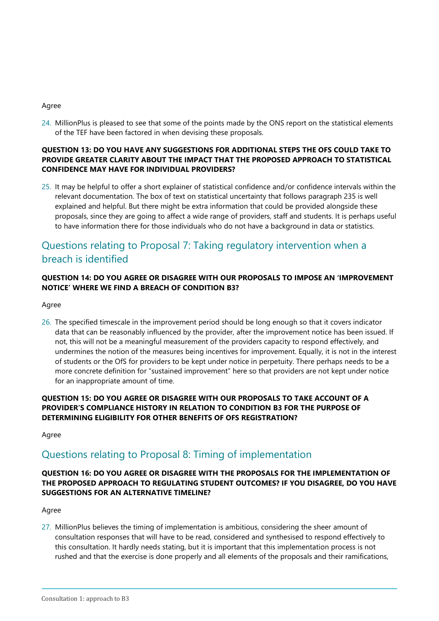#### Agree

24. MillionPlus is pleased to see that some of the points made by the ONS report on the statistical elements of the TEF have been factored in when devising these proposals.

#### **QUESTION 13: DO YOU HAVE ANY SUGGESTIONS FOR ADDITIONAL STEPS THE OFS COULD TAKE TO PROVIDE GREATER CLARITY ABOUT THE IMPACT THAT THE PROPOSED APPROACH TO STATISTICAL CONFIDENCE MAY HAVE FOR INDIVIDUAL PROVIDERS?**

25. It may be helpful to offer a short explainer of statistical confidence and/or confidence intervals within the relevant documentation. The box of text on statistical uncertainty that follows paragraph 235 is well explained and helpful. But there might be extra information that could be provided alongside these proposals, since they are going to affect a wide range of providers, staff and students. It is perhaps useful to have information there for those individuals who do not have a background in data or statistics.

## Questions relating to Proposal 7: Taking regulatory intervention when a breach is identified

#### **QUESTION 14: DO YOU AGREE OR DISAGREE WITH OUR PROPOSALS TO IMPOSE AN 'IMPROVEMENT NOTICE' WHERE WE FIND A BREACH OF CONDITION B3?**

#### Agree

26. The specified timescale in the improvement period should be long enough so that it covers indicator data that can be reasonably influenced by the provider, after the improvement notice has been issued. If not, this will not be a meaningful measurement of the providers capacity to respond effectively, and undermines the notion of the measures being incentives for improvement. Equally, it is not in the interest of students or the OfS for providers to be kept under notice in perpetuity. There perhaps needs to be a more concrete definition for "sustained improvement" here so that providers are not kept under notice for an inappropriate amount of time.

#### **QUESTION 15: DO YOU AGREE OR DISAGREE WITH OUR PROPOSALS TO TAKE ACCOUNT OF A PROVIDER'S COMPLIANCE HISTORY IN RELATION TO CONDITION B3 FOR THE PURPOSE OF DETERMINING ELIGIBILITY FOR OTHER BENEFITS OF OFS REGISTRATION?**

Agree

### Questions relating to Proposal 8: Timing of implementation

#### **QUESTION 16: DO YOU AGREE OR DISAGREE WITH THE PROPOSALS FOR THE IMPLEMENTATION OF THE PROPOSED APPROACH TO REGULATING STUDENT OUTCOMES? IF YOU DISAGREE, DO YOU HAVE SUGGESTIONS FOR AN ALTERNATIVE TIMELINE?**

#### Agree

27. MillionPlus believes the timing of implementation is ambitious, considering the sheer amount of consultation responses that will have to be read, considered and synthesised to respond effectively to this consultation. It hardly needs stating, but it is important that this implementation process is not rushed and that the exercise is done properly and all elements of the proposals and their ramifications,